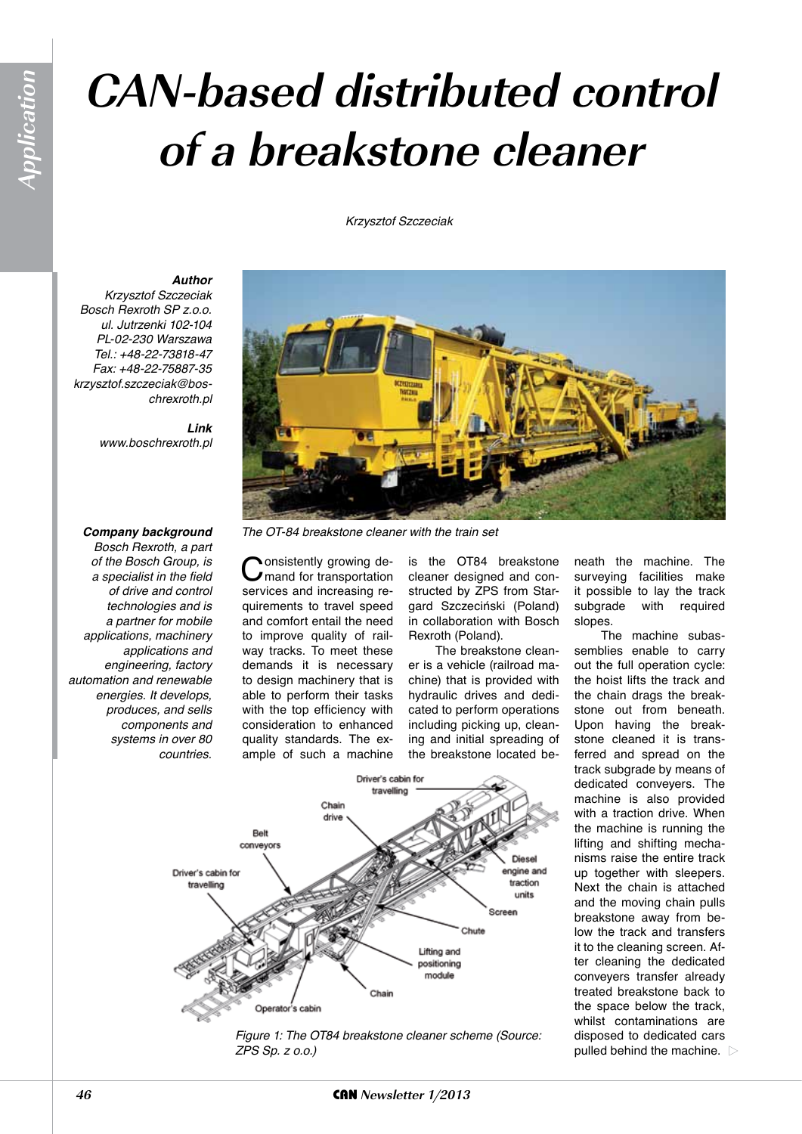# **CAN-based distributed control of a breakstone cleaner**

*Krzysztof Szczeciak*

#### *Author*

*Krzysztof Szczeciak Bosch Rexroth SP z.o.o. ul. Jutrzenki 102-104 PL-02-230 Warszawa Tel.: +48-22-73818-47 Fax: +48-22-75887-35 krzysztof.szczeciak@boschrexroth.pl*

> *Link www.boschrexroth.pl*

#### *Company background*

*Bosch Rexroth, a part of the Bosch Group, is a specialist in the field of drive and control technologies and is a partner for mobile applications, machinery applications and engineering, factory automation and renewable energies. It develops, produces, and sells components and systems in over 80 countries.*



*The OT-84 breakstone cleaner with the train set*

Consistently growing de-<br>
convices and increasing reservices and increasing requirements to travel speed and comfort entail the need to improve quality of railway tracks. To meet these demands it is necessary to design machinery that is able to perform their tasks with the top efficiency with consideration to enhanced quality standards. The example of such a machine

is the OT84 breakstone cleaner designed and constructed by ZPS from Stargard Szczeciński (Poland) in collaboration with Bosch Rexroth (Poland).

The breakstone cleaner is a vehicle (railroad machine) that is provided with hydraulic drives and dedicated to perform operations including picking up, cleaning and initial spreading of the breakstone located be-





neath the machine. The surveying facilities make it possible to lay the track<br>subgrade with required required slopes.

The machine subassemblies enable to carry out the full operation cycle: the hoist lifts the track and the chain drags the breakstone out from beneath. Upon having the breakstone cleaned it is transferred and spread on the track subgrade by means of dedicated conveyers. The machine is also provided with a traction drive. When the machine is running the lifting and shifting mechanisms raise the entire track up together with sleepers. Next the chain is attached and the moving chain pulls breakstone away from below the track and transfers it to the cleaning screen. After cleaning the dedicated conveyers transfer already treated breakstone back to the space below the track, whilst contaminations are disposed to dedicated cars pulled behind the machine.  $\triangleright$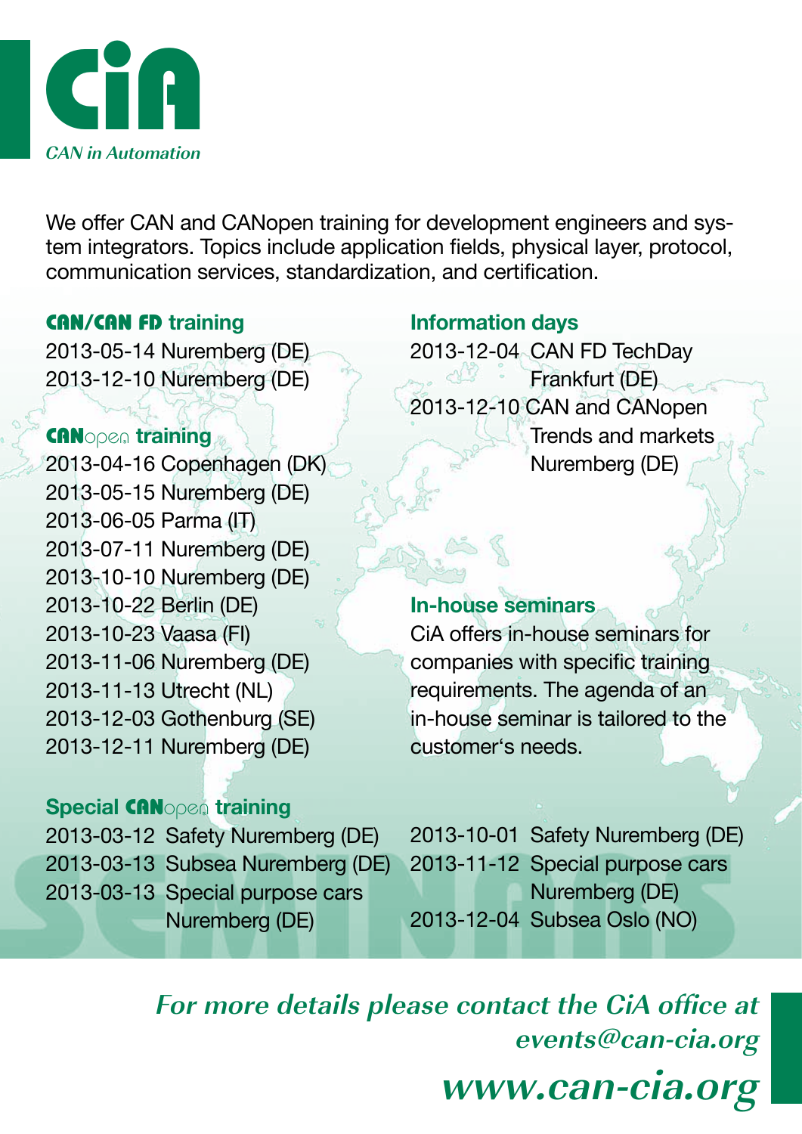

We offer CAN and CANopen training for development engineers and system integrators. Topics include application fields, physical layer, protocol, communication services, standardization, and certification.

## CAN/CAN FD **training**

2013-05-14 Nuremberg (DE) 2013-12-10 Nuremberg (DE)

## CANopen **training**

2013-04-16 Copenhagen (DK) 2013-05-15 Nuremberg (DE) 2013-06-05 Parma (IT) 2013-07-11 Nuremberg (DE) 2013-10-10 Nuremberg (DE) 2013-10-22 Berlin (DE) 2013-10-23 Vaasa (FI) 2013-11-06 Nuremberg (DE) 2013-11-13 Utrecht (NL) 2013-12-03 Gothenburg (SE) 2013-12-11 Nuremberg (DE)

# **Special** CANopen **training**

2013-03-12 Safety Nuremberg (DE) 2013-03-13 Subsea Nuremberg (DE) 2013-03-13 Special purpose cars Nuremberg (DE)

# **Information days**

2013-12-04 CAN FD TechDay  $C\sqrt{N}$ Frankfurt (DE) 2013-12-10 CAN and CANopen Trends and markets Nuremberg (DE)

## **In-house seminars**

CiA offers in-house seminars for companies with specific training requirements. The agenda of an in-house seminar is tailored to the customer's needs.

2013-10-01 Safety Nuremberg (DE) 2013-11-12 Special purpose cars Nuremberg (DE) 2013-12-04 Subsea Oslo (NO)

**For more details please contact the CiA office at events@can-cia.org www.can-cia.org**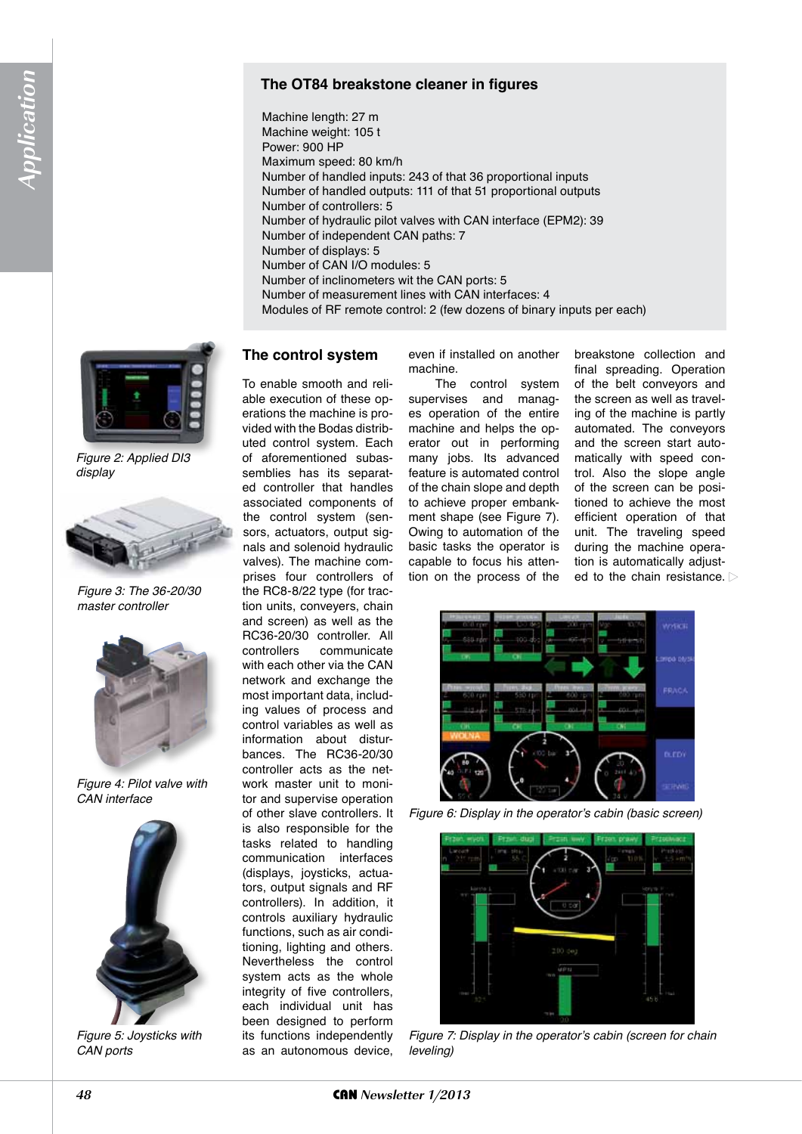#### **The OT84 breakstone cleaner in figures**

Machine length: 27 m Machine weight: 105 t Power: 900 HP Maximum speed: 80 km/h Number of handled inputs: 243 of that 36 proportional inputs Number of handled outputs: 111 of that 51 proportional outputs Number of controllers: 5 Number of hydraulic pilot valves with CAN interface (EPM2): 39 Number of independent CAN paths: 7 Number of displays: 5 Number of CAN I/O modules: 5 Number of inclinometers wit the CAN ports: 5 Number of measurement lines with CAN interfaces: 4

Modules of RF remote control: 2 (few dozens of binary inputs per each)

### **The control system**

To enable smooth and reliable execution of these operations the machine is provided with the Bodas distributed control system. Each of aforementioned subassemblies has its separated controller that handles associated components of the control system (sensors, actuators, output signals and solenoid hydraulic valves). The machine comprises four controllers of the RC8-8/22 type (for traction units, conveyers, chain and screen) as well as the RC36-20/30 controller. All controllers communicate with each other via the CAN network and exchange the most important data, including values of process and control variables as well as information about disturbances. The RC36-20/30 controller acts as the network master unit to monitor and supervise operation of other slave controllers. It is also responsible for the tasks related to handling communication interfaces (displays, joysticks, actuators, output signals and RF controllers). In addition, it controls auxiliary hydraulic functions, such as air conditioning, lighting and others. Nevertheless the control system acts as the whole integrity of five controllers, each individual unit has been designed to perform its functions independently as an autonomous device,

even if installed on another machine.

The control system supervises and manages operation of the entire machine and helps the operator out in performing many jobs. Its advanced feature is automated control of the chain slope and depth to achieve proper embankment shape (see Figure 7). Owing to automation of the basic tasks the operator is capable to focus his attention on the process of the

breakstone collection and final spreading. Operation of the belt conveyors and the screen as well as traveling of the machine is partly automated. The conveyors and the screen start automatically with speed control. Also the slope angle of the screen can be positioned to achieve the most efficient operation of that unit. The traveling speed during the machine operation is automatically adjusted to the chain resistance.



Figure 6: Display in the operator's cabin (basic screen)



Figure 7: Display in the operator's cabin (screen for chain *leveling)*



*Figure 2: Applied DI3 display*



*Figure 3: The 36-20/30 master controller*



*Figure 4: Pilot valve with CAN interface* 



*Figure 5: Joysticks with CAN ports*